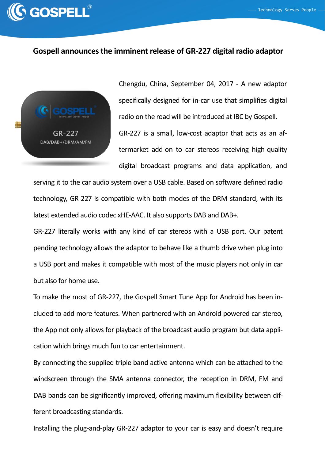

## **Gospell announces the imminent release of GR-227 digital radio adaptor**



Chengdu, China, September 04, 2017 - A new adaptor specifically designed for in-car use that simplifies digital radio on the road will be introduced at IBC by Gospell. GR-227 is a small, low-cost adaptor that acts as an aftermarket add-on to car stereos receiving high-quality digital broadcast programs and data application, and

serving it to the car audio system over a USB cable. Based on software defined radio technology, GR-227 is compatible with both modes of the DRM standard, with its latest extended audio codec xHE-AAC. It also supports DAB and DAB+.

GR-227 literally works with any kind of car stereos with a USB port. Our patent pending technology allows the adaptor to behave like a thumb drive when plug into a USB port and makes it compatible with most of the music players not only in car but also for home use.

To make the most of GR-227, the Gospell Smart Tune App for Android has been included to add more features. When partnered with an Android powered car stereo, the App not only allows for playback of the broadcast audio program but data application which brings much fun to car entertainment.

By connecting the supplied triple band active antenna which can be attached to the windscreen through the SMA antenna connector, the reception in DRM, FM and DAB bands can be significantly improved, offering maximum flexibility between different broadcasting standards.

Installing the plug-and-play GR-227 adaptor to your car is easy and doesn't require